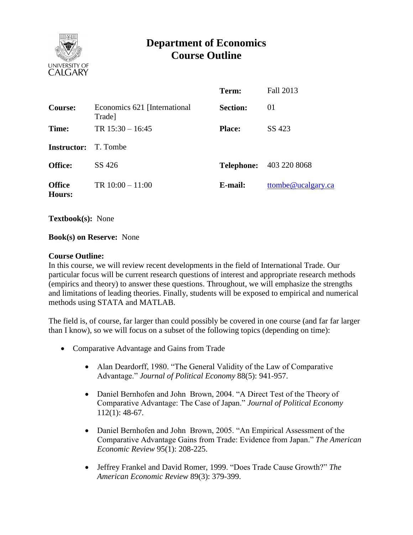

# **Department of Economics Course Outline**

|                                |                                         | Term:           | Fall 2013                      |
|--------------------------------|-----------------------------------------|-----------------|--------------------------------|
| <b>Course:</b>                 | Economics 621 [International]<br>Trade] | <b>Section:</b> | 01                             |
| Time:                          | TR $15:30 - 16:45$                      | <b>Place:</b>   | SS 423                         |
| <b>Instructor:</b>             | T. Tombe                                |                 |                                |
| <b>Office:</b>                 | SS 426                                  |                 | <b>Telephone:</b> 403 220 8068 |
| <b>Office</b><br><b>Hours:</b> | TR $10:00 - 11:00$                      | E-mail:         | ttombe@ucalgary.ca             |

**Textbook(s):** None

#### **Book(s) on Reserve:** None

#### **Course Outline:**

In this course, we will review recent developments in the field of International Trade. Our particular focus will be current research questions of interest and appropriate research methods (empirics and theory) to answer these questions. Throughout, we will emphasize the strengths and limitations of leading theories. Finally, students will be exposed to empirical and numerical methods using STATA and MATLAB.

The field is, of course, far larger than could possibly be covered in one course (and far far larger than I know), so we will focus on a subset of the following topics (depending on time):

- Comparative Advantage and Gains from Trade
	- Alan Deardorff, 1980. "The General Validity of the Law of Comparative Advantage." *Journal of Political Economy* 88(5): 941-957.
	- Daniel Bernhofen and John Brown, 2004. "A Direct Test of the Theory of Comparative Advantage: The Case of Japan." *Journal of Political Economy*  112(1): 48-67.
	- Daniel Bernhofen and John Brown, 2005. "An Empirical Assessment of the Comparative Advantage Gains from Trade: Evidence from Japan." *The American Economic Review* 95(1): 208-225.
	- Jeffrey Frankel and David Romer, 1999. "Does Trade Cause Growth?" *The American Economic Review* 89(3): 379-399.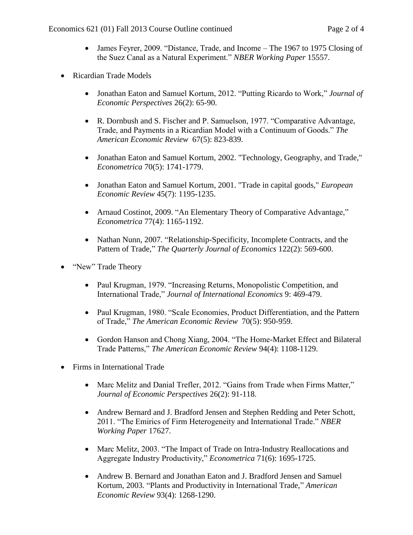- James Feyrer, 2009. "Distance, Trade, and Income The 1967 to 1975 Closing of the Suez Canal as a Natural Experiment." *NBER Working Paper* 15557.
- Ricardian Trade Models
	- Jonathan Eaton and Samuel Kortum, 2012. "Putting Ricardo to Work," *Journal of Economic Perspectives* 26(2): 65-90.
	- R. Dornbush and S. Fischer and P. Samuelson, 1977. "Comparative Advantage, Trade, and Payments in a Ricardian Model with a Continuum of Goods." *The American Economic Review* 67(5): 823-839.
	- Jonathan Eaton and Samuel Kortum, 2002. "Technology, Geography, and Trade," *Econometrica* 70(5): 1741-1779.
	- Jonathan Eaton and Samuel Kortum, 2001. "Trade in capital goods," *European Economic Review* 45(7): 1195-1235.
	- Arnaud Costinot, 2009. "An Elementary Theory of Comparative Advantage," *Econometrica* 77(4): 1165-1192.
	- Nathan Nunn, 2007. "Relationship-Specificity, Incomplete Contracts, and the Pattern of Trade," *The Quarterly Journal of Economics* 122(2): 569-600.
- "New" Trade Theory
	- Paul Krugman, 1979. "Increasing Returns, Monopolistic Competition, and International Trade," *Journal of International Economics* 9: 469-479.
	- Paul Krugman, 1980. "Scale Economies, Product Differentiation, and the Pattern of Trade," *The American Economic Review* 70(5): 950-959.
	- Gordon Hanson and Chong Xiang, 2004. "The Home-Market Effect and Bilateral Trade Patterns," *The American Economic Review* 94(4): 1108-1129.
- Firms in International Trade
	- Marc Melitz and Danial Trefler, 2012. "Gains from Trade when Firms Matter," *Journal of Economic Perspectives* 26(2): 91-118.
	- Andrew Bernard and J. Bradford Jensen and Stephen Redding and Peter Schott, 2011. "The Emirics of Firm Heterogeneity and International Trade." *NBER Working Paper* 17627.
	- Marc Melitz, 2003. "The Impact of Trade on Intra-Industry Reallocations and Aggregate Industry Productivity," *Econometrica* 71(6): 1695-1725.
	- Andrew B. Bernard and Jonathan Eaton and J. Bradford Jensen and Samuel Kortum, 2003. "Plants and Productivity in International Trade," *American Economic Review* 93(4): 1268-1290.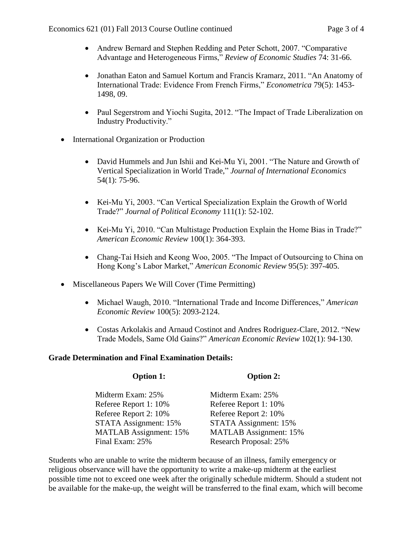- Andrew Bernard and Stephen Redding and Peter Schott, 2007. "Comparative Advantage and Heterogeneous Firms," *Review of Economic Studies* 74: 31-66.
- Jonathan Eaton and Samuel Kortum and Francis Kramarz, 2011. "An Anatomy of International Trade: Evidence From French Firms," *Econometrica* 79(5): 1453- 1498, 09.
- Paul Segerstrom and Yiochi Sugita, 2012. "The Impact of Trade Liberalization on Industry Productivity."
- International Organization or Production
	- David Hummels and Jun Ishii and Kei-Mu Yi, 2001. "The Nature and Growth of Vertical Specialization in World Trade," *Journal of International Economics*  54(1): 75-96.
	- Kei-Mu Yi, 2003. "Can Vertical Specialization Explain the Growth of World Trade?" *Journal of Political Economy* 111(1): 52-102.
	- Kei-Mu Yi, 2010. "Can Multistage Production Explain the Home Bias in Trade?" *American Economic Review* 100(1): 364-393.
	- Chang-Tai Hsieh and Keong Woo, 2005. "The Impact of Outsourcing to China on Hong Kong's Labor Market," *American Economic Review* 95(5): 397-405.
- Miscellaneous Papers We Will Cover (Time Permitting)
	- Michael Waugh, 2010. "International Trade and Income Differences," *American Economic Review* 100(5): 2093-2124.
	- Costas Arkolakis and Arnaud Costinot and Andres Rodriguez-Clare, 2012. "New Trade Models, Same Old Gains?" *American Economic Review* 102(1): 94-130.

**Option 2:**

### **Grade Determination and Final Examination Details:**

**Option 1:**

| Option 1:                     | $U$ <i>puon</i> $\mathcal{L}$ : |
|-------------------------------|---------------------------------|
| Midterm Exam: 25%             | Midterm Exam: 25%               |
| Referee Report 1: 10%         | Referee Report 1: 10%           |
| Referee Report 2: 10%         | Referee Report 2: 10%           |
| STATA Assignment: 15%         | STATA Assignment: 15%           |
| <b>MATLAB</b> Assignment: 15% | <b>MATLAB</b> Assignment: 15%   |
| Final Exam: 25%               | <b>Research Proposal: 25%</b>   |

Students who are unable to write the midterm because of an illness, family emergency or religious observance will have the opportunity to write a make-up midterm at the earliest possible time not to exceed one week after the originally schedule midterm. Should a student not be available for the make-up, the weight will be transferred to the final exam, which will become